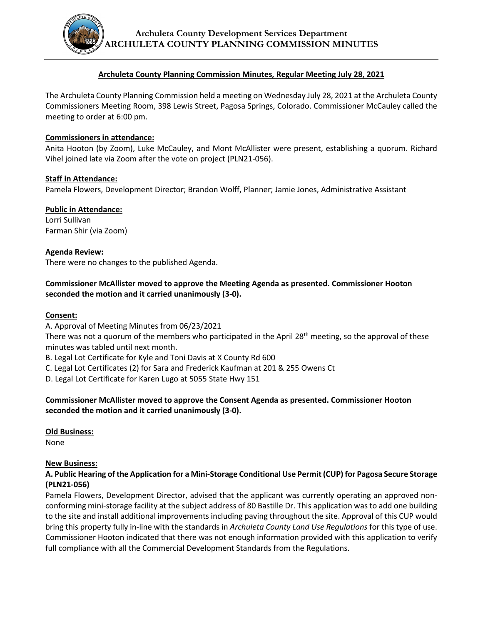

#### **Archuleta County Planning Commission Minutes, Regular Meeting July 28, 2021**

The Archuleta County Planning Commission held a meeting on Wednesday July 28, 2021 at the Archuleta County Commissioners Meeting Room, 398 Lewis Street, Pagosa Springs, Colorado. Commissioner McCauley called the meeting to order at 6:00 pm.

#### **Commissioners in attendance:**

Anita Hooton (by Zoom), Luke McCauley, and Mont McAllister were present, establishing a quorum. Richard Vihel joined late via Zoom after the vote on project (PLN21-056).

## **Staff in Attendance:**

Pamela Flowers, Development Director; Brandon Wolff, Planner; Jamie Jones, Administrative Assistant

# **Public in Attendance:**

Lorri Sullivan Farman Shir (via Zoom)

## **Agenda Review:**

There were no changes to the published Agenda.

# **Commissioner McAllister moved to approve the Meeting Agenda as presented. Commissioner Hooton seconded the motion and it carried unanimously (3-0).**

#### **Consent:**

A. Approval of Meeting Minutes from 06/23/2021

There was not a quorum of the members who participated in the April 28<sup>th</sup> meeting, so the approval of these minutes was tabled until next month.

B. Legal Lot Certificate for Kyle and Toni Davis at X County Rd 600

C. Legal Lot Certificates (2) for Sara and Frederick Kaufman at 201 & 255 Owens Ct

D. Legal Lot Certificate for Karen Lugo at 5055 State Hwy 151

## **Commissioner McAllister moved to approve the Consent Agenda as presented. Commissioner Hooton seconded the motion and it carried unanimously (3-0).**

# **Old Business:**

None

# **New Business:**

## **A. Public Hearing of the Application for a Mini-Storage Conditional Use Permit (CUP) for Pagosa Secure Storage (PLN21-056)**

Pamela Flowers, Development Director, advised that the applicant was currently operating an approved nonconforming mini-storage facility at the subject address of 80 Bastille Dr. This application was to add one building to the site and install additional improvements including paving throughout the site. Approval of this CUP would bring this property fully in-line with the standards in *Archuleta County Land Use Regulations* for this type of use. Commissioner Hooton indicated that there was not enough information provided with this application to verify full compliance with all the Commercial Development Standards from the Regulations.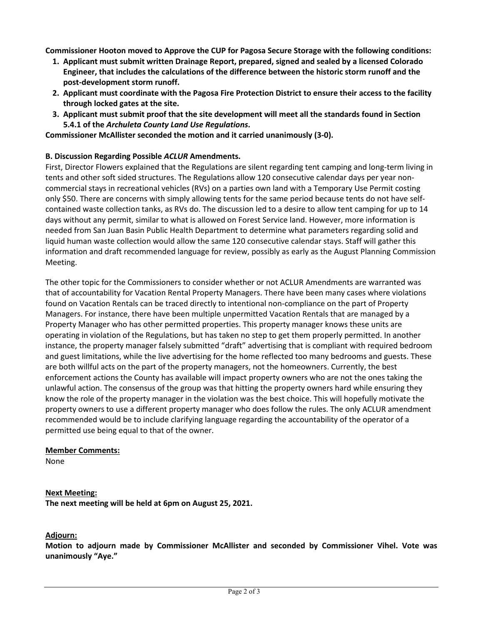**Commissioner Hooton moved to Approve the CUP for Pagosa Secure Storage with the following conditions:**

- **1. Applicant must submit written Drainage Report, prepared, signed and sealed by a licensed Colorado Engineer, that includes the calculations of the difference between the historic storm runoff and the post-development storm runoff.**
- **2. Applicant must coordinate with the Pagosa Fire Protection District to ensure their access to the facility through locked gates at the site.**
- **3. Applicant must submit proof that the site development will meet all the standards found in Section 5.4.1 of the** *Archuleta County Land Use Regulations***.**

**Commissioner McAllister seconded the motion and it carried unanimously (3-0).**

## **B. Discussion Regarding Possible** *ACLUR* **Amendments.**

First, Director Flowers explained that the Regulations are silent regarding tent camping and long-term living in tents and other soft sided structures. The Regulations allow 120 consecutive calendar days per year noncommercial stays in recreational vehicles (RVs) on a parties own land with a Temporary Use Permit costing only \$50. There are concerns with simply allowing tents for the same period because tents do not have selfcontained waste collection tanks, as RVs do. The discussion led to a desire to allow tent camping for up to 14 days without any permit, similar to what is allowed on Forest Service land. However, more information is needed from San Juan Basin Public Health Department to determine what parameters regarding solid and liquid human waste collection would allow the same 120 consecutive calendar stays. Staff will gather this information and draft recommended language for review, possibly as early as the August Planning Commission Meeting.

The other topic for the Commissioners to consider whether or not ACLUR Amendments are warranted was that of accountability for Vacation Rental Property Managers. There have been many cases where violations found on Vacation Rentals can be traced directly to intentional non-compliance on the part of Property Managers. For instance, there have been multiple unpermitted Vacation Rentals that are managed by a Property Manager who has other permitted properties. This property manager knows these units are operating in violation of the Regulations, but has taken no step to get them properly permitted. In another instance, the property manager falsely submitted "draft" advertising that is compliant with required bedroom and guest limitations, while the live advertising for the home reflected too many bedrooms and guests. These are both willful acts on the part of the property managers, not the homeowners. Currently, the best enforcement actions the County has available will impact property owners who are not the ones taking the unlawful action. The consensus of the group was that hitting the property owners hard while ensuring they know the role of the property manager in the violation was the best choice. This will hopefully motivate the property owners to use a different property manager who does follow the rules. The only ACLUR amendment recommended would be to include clarifying language regarding the accountability of the operator of a permitted use being equal to that of the owner.

#### **Member Comments:**

None

# **Next Meeting:**

**The next meeting will be held at 6pm on August 25, 2021.**

# **Adjourn:**

**Motion to adjourn made by Commissioner McAllister and seconded by Commissioner Vihel. Vote was unanimously "Aye."**